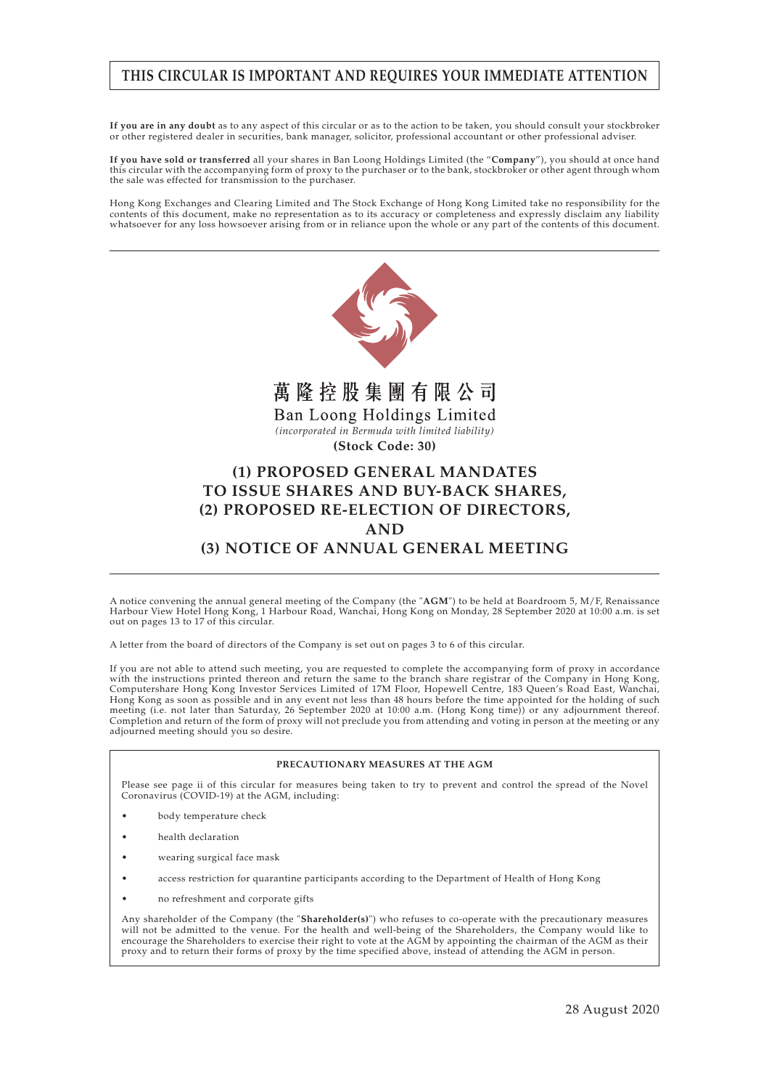## **THIS CIRCULAR IS IMPORTANT AND REQUIRES YOUR IMMEDIATE ATTENTION**

**If you are in any doubt** as to any aspect of this circular or as to the action to be taken, you should consult your stockbroker or other registered dealer in securities, bank manager, solicitor, professional accountant or other professional adviser.

**If you have sold or transferred** all your shares in Ban Loong Holdings Limited (the "**Company**"), you should at once hand this circular with the accompanying form of proxy to the purchaser or to the bank, stockbroker or other agent through whom the sale was effected for transmission to the purchaser.

Hong Kong Exchanges and Clearing Limited and The Stock Exchange of Hong Kong Limited take no responsibility for the contents of this document, make no representation as to its accuracy or completeness and expressly disclaim any liability whatsoever for any loss howsoever arising from or in reliance upon the whole or any part of the contents of this document.



A notice convening the annual general meeting of the Company (the "**AGM**") to be held at Boardroom 5, M/F, Renaissance Harbour View Hotel Hong Kong, 1 Harbour Road, Wanchai, Hong Kong on Monday, 28 September 2020 at 10:00 a.m. is set out on pages 13 to 17 of this circular.

A letter from the board of directors of the Company is set out on pages 3 to 6 of this circular.

If you are not able to attend such meeting, you are requested to complete the accompanying form of proxy in accordance with the instructions printed thereon and return the same to the branch share registrar of the Company in Hong Kong, Computershare Hong Kong Investor Services Limited of 17M Floor, Hopewell Centre, 183 Queen's Road East, Wanchai, Hong Kong as soon as possible and in any event not less than 48 hours before the time appointed for the holding of such meeting (i.e. not later than Saturday, 26 September 2020 at 10:00 a.m. (Hong Kong time)) or any adjournment thereof. Completion and return of the form of proxy will not preclude you from attending and voting in person at the meeting or any adjourned meeting should you so desire.

#### **PRECAUTIONARY MEASURES AT THE AGM**

Please see page ii of this circular for measures being taken to try to prevent and control the spread of the Novel Coronavirus (COVID-19) at the AGM, including:

- body temperature check
- health declaration
- wearing surgical face mask
- access restriction for quarantine participants according to the Department of Health of Hong Kong
- no refreshment and corporate gifts

Any shareholder of the Company (the "**Shareholder(s)**") who refuses to co-operate with the precautionary measures will not be admitted to the venue. For the health and well-being of the Shareholders, the Company would like to encourage the Shareholders to exercise their right to vote at the AGM by appointing the chairman of the AGM as their proxy and to return their forms of proxy by the time specified above, instead of attending the AGM in person.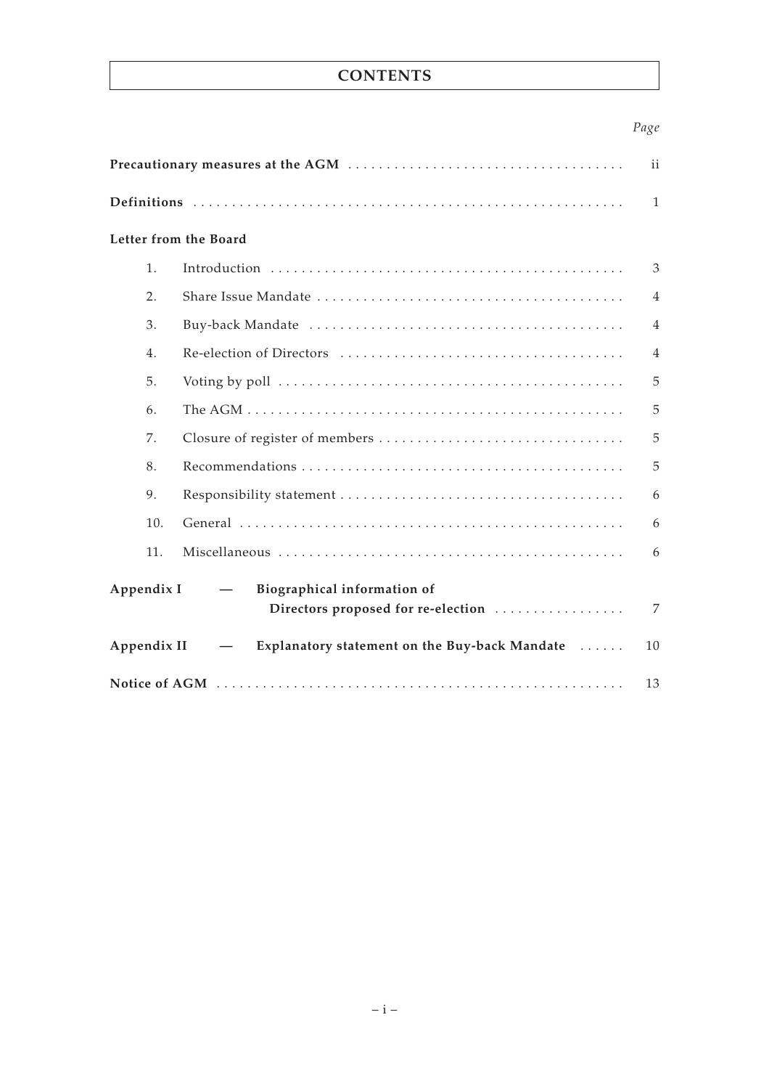# **CONTENTS**

# *Page*

| Letter from the Board                                                                                       |                                               |                |  |
|-------------------------------------------------------------------------------------------------------------|-----------------------------------------------|----------------|--|
| 1.                                                                                                          |                                               | 3              |  |
| 2.                                                                                                          |                                               | $\overline{4}$ |  |
| 3.                                                                                                          |                                               | $\overline{4}$ |  |
| 4.                                                                                                          |                                               | $\overline{4}$ |  |
| 5.                                                                                                          |                                               | 5              |  |
| 6.                                                                                                          |                                               | 5              |  |
| 7.                                                                                                          |                                               | 5              |  |
| 8.                                                                                                          |                                               | 5              |  |
| 9.                                                                                                          |                                               | 6              |  |
| 10.                                                                                                         |                                               | 6              |  |
| 11.                                                                                                         |                                               | 6              |  |
| Appendix I<br>Biographical information of<br>$\overline{\phantom{0}}$<br>Directors proposed for re-election |                                               |                |  |
| Appendix II                                                                                                 | Explanatory statement on the Buy-back Mandate | 10             |  |
|                                                                                                             |                                               |                |  |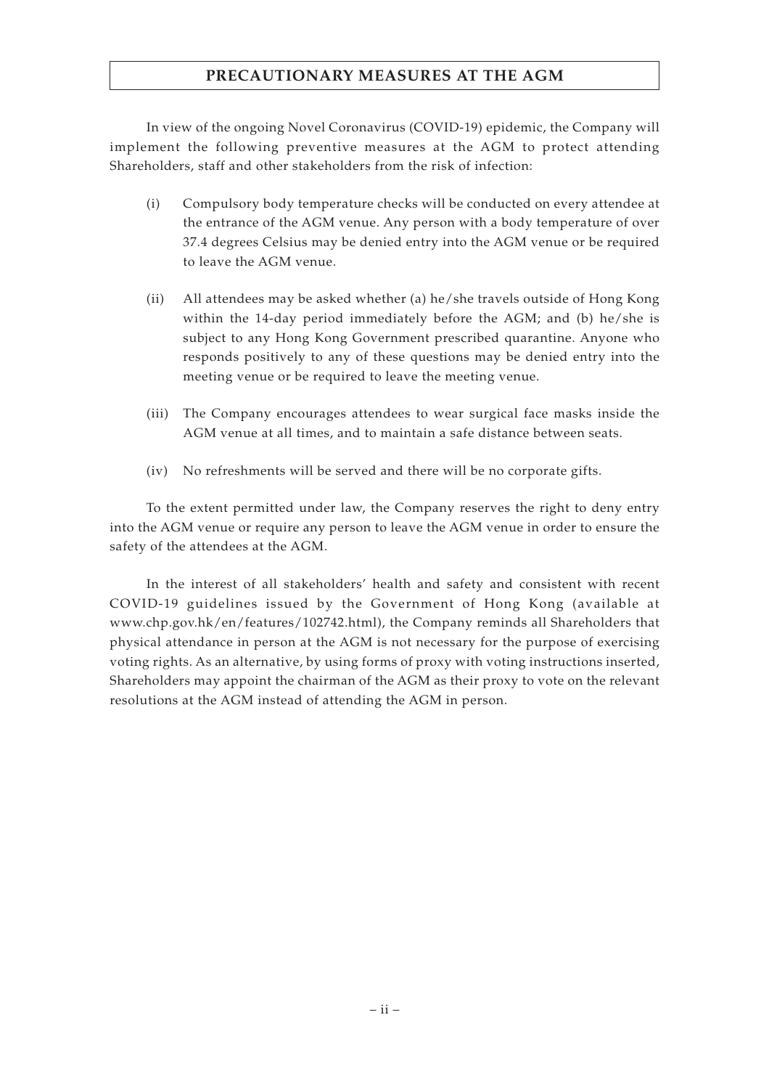# **PRECAUTIONARY MEASURES AT THE AGM**

In view of the ongoing Novel Coronavirus (COVID-19) epidemic, the Company will implement the following preventive measures at the AGM to protect attending Shareholders, staff and other stakeholders from the risk of infection:

- (i) Compulsory body temperature checks will be conducted on every attendee at the entrance of the AGM venue. Any person with a body temperature of over 37.4 degrees Celsius may be denied entry into the AGM venue or be required to leave the AGM venue.
- (ii) All attendees may be asked whether (a) he/she travels outside of Hong Kong within the 14-day period immediately before the AGM; and (b) he/she is subject to any Hong Kong Government prescribed quarantine. Anyone who responds positively to any of these questions may be denied entry into the meeting venue or be required to leave the meeting venue.
- (iii) The Company encourages attendees to wear surgical face masks inside the AGM venue at all times, and to maintain a safe distance between seats.
- (iv) No refreshments will be served and there will be no corporate gifts.

To the extent permitted under law, the Company reserves the right to deny entry into the AGM venue or require any person to leave the AGM venue in order to ensure the safety of the attendees at the AGM.

In the interest of all stakeholders' health and safety and consistent with recent COVID-19 guidelines issued by the Government of Hong Kong (available at www.chp.gov.hk/en/features/102742.html), the Company reminds all Shareholders that physical attendance in person at the AGM is not necessary for the purpose of exercising voting rights. As an alternative, by using forms of proxy with voting instructions inserted, Shareholders may appoint the chairman of the AGM as their proxy to vote on the relevant resolutions at the AGM instead of attending the AGM in person.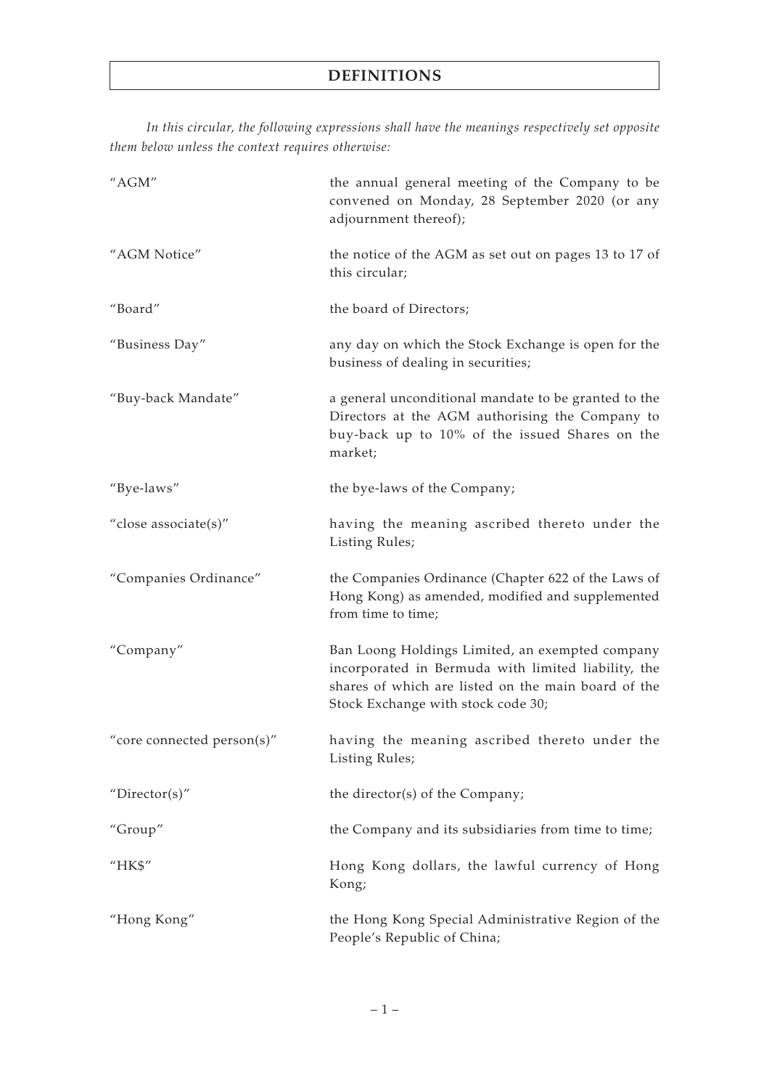*In this circular, the following expressions shall have the meanings respectively set opposite them below unless the context requires otherwise:*

| "AGM"                      | the annual general meeting of the Company to be<br>convened on Monday, 28 September 2020 (or any<br>adjournment thereof);                                                                           |
|----------------------------|-----------------------------------------------------------------------------------------------------------------------------------------------------------------------------------------------------|
| "AGM Notice"               | the notice of the AGM as set out on pages 13 to 17 of<br>this circular;                                                                                                                             |
| "Board"                    | the board of Directors;                                                                                                                                                                             |
| "Business Day"             | any day on which the Stock Exchange is open for the<br>business of dealing in securities;                                                                                                           |
| "Buy-back Mandate"         | a general unconditional mandate to be granted to the<br>Directors at the AGM authorising the Company to<br>buy-back up to 10% of the issued Shares on the<br>market;                                |
| "Bye-laws"                 | the bye-laws of the Company;                                                                                                                                                                        |
| "close associate(s)"       | having the meaning ascribed thereto under the<br>Listing Rules;                                                                                                                                     |
| "Companies Ordinance"      | the Companies Ordinance (Chapter 622 of the Laws of<br>Hong Kong) as amended, modified and supplemented<br>from time to time;                                                                       |
| "Company"                  | Ban Loong Holdings Limited, an exempted company<br>incorporated in Bermuda with limited liability, the<br>shares of which are listed on the main board of the<br>Stock Exchange with stock code 30; |
| "core connected person(s)" | having the meaning ascribed thereto under the<br>Listing Rules;                                                                                                                                     |
| "Director(s)"              | the director(s) of the Company;                                                                                                                                                                     |
| "Group"                    | the Company and its subsidiaries from time to time;                                                                                                                                                 |
| "HK\$"                     | Hong Kong dollars, the lawful currency of Hong<br>Kong;                                                                                                                                             |
| "Hong Kong"                | the Hong Kong Special Administrative Region of the<br>People's Republic of China;                                                                                                                   |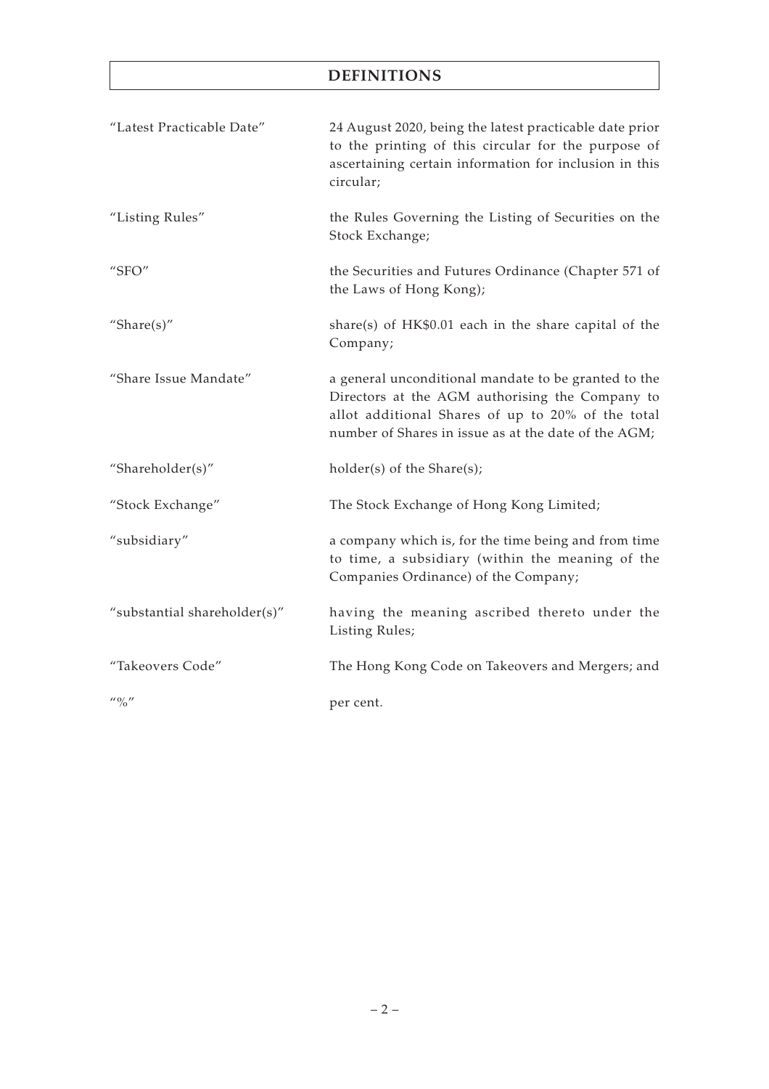# **DEFINITIONS**

| "Latest Practicable Date"     | 24 August 2020, being the latest practicable date prior<br>to the printing of this circular for the purpose of<br>ascertaining certain information for inclusion in this<br>circular;                                |
|-------------------------------|----------------------------------------------------------------------------------------------------------------------------------------------------------------------------------------------------------------------|
| "Listing Rules"               | the Rules Governing the Listing of Securities on the<br>Stock Exchange;                                                                                                                                              |
| " $SFO"$                      | the Securities and Futures Ordinance (Chapter 571 of<br>the Laws of Hong Kong);                                                                                                                                      |
| "Share $(s)$ "                | share(s) of $HK$0.01$ each in the share capital of the<br>Company;                                                                                                                                                   |
| "Share Issue Mandate"         | a general unconditional mandate to be granted to the<br>Directors at the AGM authorising the Company to<br>allot additional Shares of up to 20% of the total<br>number of Shares in issue as at the date of the AGM; |
| "Shareholder(s)"              | $holder(s)$ of the Share $(s)$ ;                                                                                                                                                                                     |
| "Stock Exchange"              | The Stock Exchange of Hong Kong Limited;                                                                                                                                                                             |
| "subsidiary"                  | a company which is, for the time being and from time<br>to time, a subsidiary (within the meaning of the<br>Companies Ordinance) of the Company;                                                                     |
| "substantial shareholder(s)"  | having the meaning ascribed thereto under the<br><b>Listing Rules;</b>                                                                                                                                               |
| "Takeovers Code"              | The Hong Kong Code on Takeovers and Mergers; and                                                                                                                                                                     |
| $\frac{1}{10}$ $\frac{1}{10}$ | per cent.                                                                                                                                                                                                            |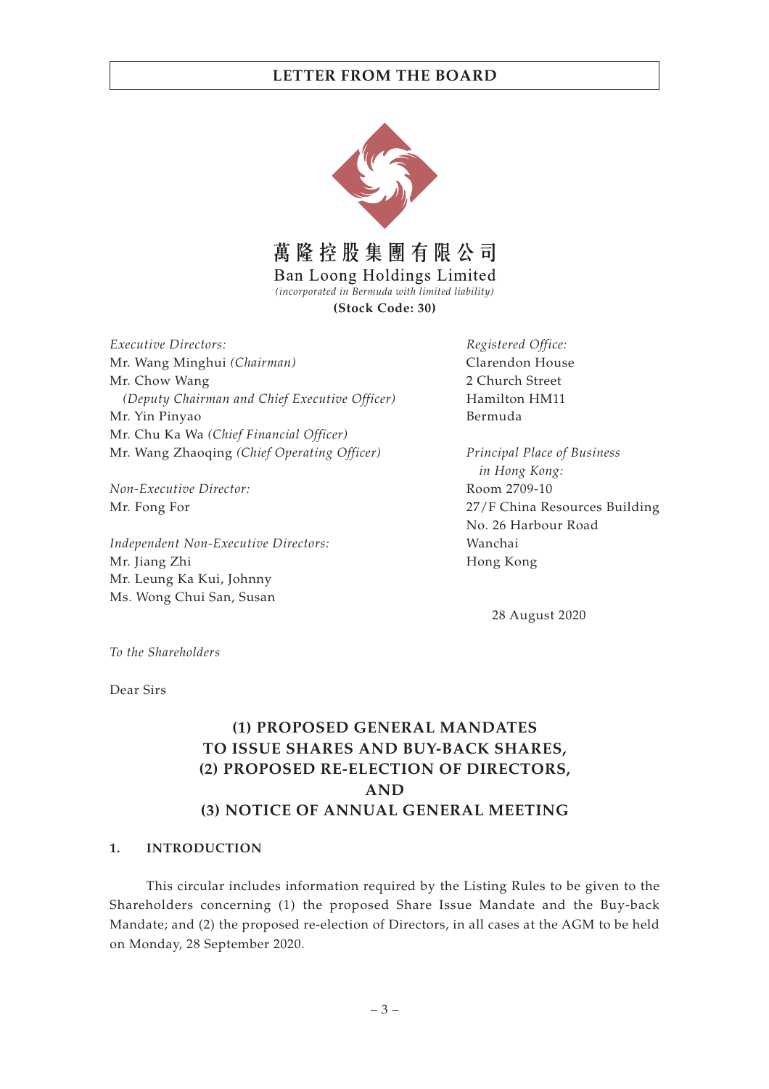

萬隆控股集團有限公司

Ban Loong Holdings Limited

*(incorporated in Bermuda with limited liability)*

**(Stock Code: 30)**

*Executive Directors:* Mr. Wang Minghui *(Chairman)* Mr. Chow Wang *(Deputy Chairman and Chief Executive Officer)* Mr. Yin Pinyao Mr. Chu Ka Wa *(Chief Financial Officer)* Mr. Wang Zhaoqing *(Chief Operating Officer)*

*Non-Executive Director:* Mr. Fong For

*Independent Non-Executive Directors:* Mr. Jiang Zhi Mr. Leung Ka Kui, Johnny Ms. Wong Chui San, Susan

*Registered Office:* Clarendon House 2 Church Street Hamilton HM11 Bermuda

*Principal Place of Business in Hong Kong:* Room 2709-10 27/F China Resources Building No. 26 Harbour Road Wanchai Hong Kong

28 August 2020

*To the Shareholders*

Dear Sirs

# **(1) PROPOSED GENERAL MANDATES TO ISSUE SHARES AND BUY-BACK SHARES, (2) PROPOSED RE-ELECTION OF DIRECTORS, AND (3) NOTICE OF ANNUAL GENERAL MEETING**

## **1. INTRODUCTION**

This circular includes information required by the Listing Rules to be given to the Shareholders concerning (1) the proposed Share Issue Mandate and the Buy-back Mandate; and (2) the proposed re-election of Directors, in all cases at the AGM to be held on Monday, 28 September 2020.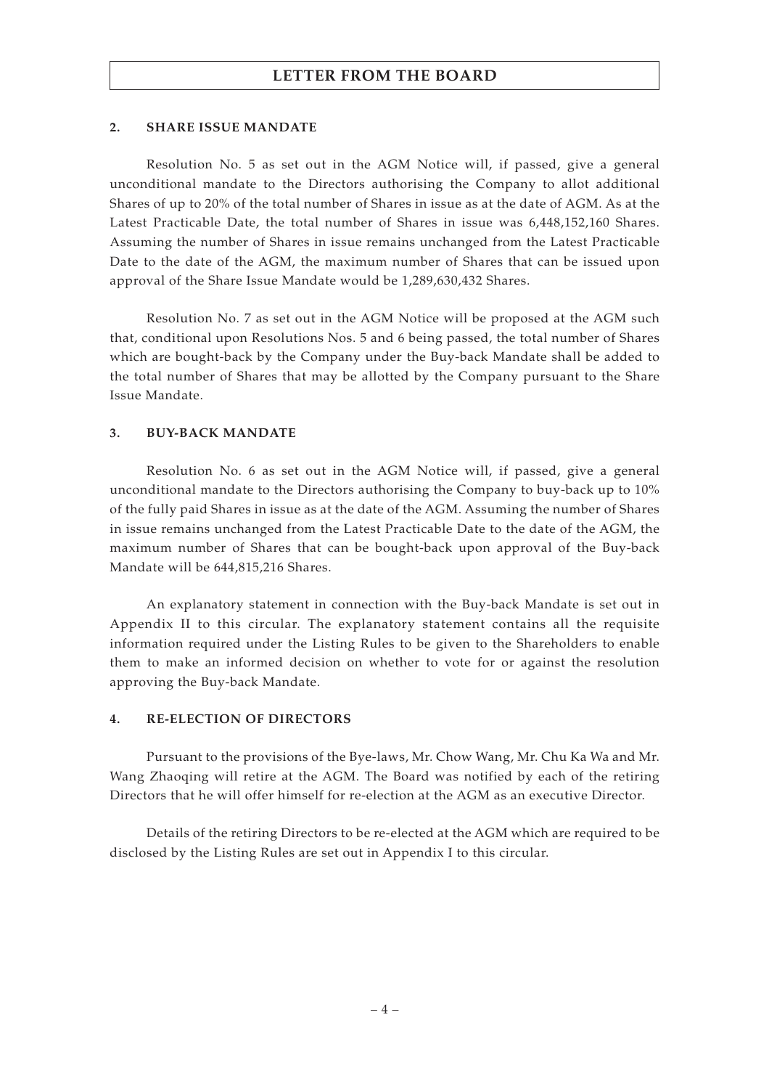#### **2. SHARE ISSUE MANDATE**

Resolution No. 5 as set out in the AGM Notice will, if passed, give a general unconditional mandate to the Directors authorising the Company to allot additional Shares of up to 20% of the total number of Shares in issue as at the date of AGM. As at the Latest Practicable Date, the total number of Shares in issue was 6,448,152,160 Shares. Assuming the number of Shares in issue remains unchanged from the Latest Practicable Date to the date of the AGM, the maximum number of Shares that can be issued upon approval of the Share Issue Mandate would be 1,289,630,432 Shares.

Resolution No. 7 as set out in the AGM Notice will be proposed at the AGM such that, conditional upon Resolutions Nos. 5 and 6 being passed, the total number of Shares which are bought-back by the Company under the Buy-back Mandate shall be added to the total number of Shares that may be allotted by the Company pursuant to the Share Issue Mandate.

#### **3. BUY-BACK MANDATE**

Resolution No. 6 as set out in the AGM Notice will, if passed, give a general unconditional mandate to the Directors authorising the Company to buy-back up to 10% of the fully paid Shares in issue as at the date of the AGM. Assuming the number of Shares in issue remains unchanged from the Latest Practicable Date to the date of the AGM, the maximum number of Shares that can be bought-back upon approval of the Buy-back Mandate will be 644,815,216 Shares.

An explanatory statement in connection with the Buy-back Mandate is set out in Appendix II to this circular. The explanatory statement contains all the requisite information required under the Listing Rules to be given to the Shareholders to enable them to make an informed decision on whether to vote for or against the resolution approving the Buy-back Mandate.

#### **4. RE-ELECTION OF DIRECTORS**

Pursuant to the provisions of the Bye-laws, Mr. Chow Wang, Mr. Chu Ka Wa and Mr. Wang Zhaoqing will retire at the AGM. The Board was notified by each of the retiring Directors that he will offer himself for re-election at the AGM as an executive Director.

Details of the retiring Directors to be re-elected at the AGM which are required to be disclosed by the Listing Rules are set out in Appendix I to this circular.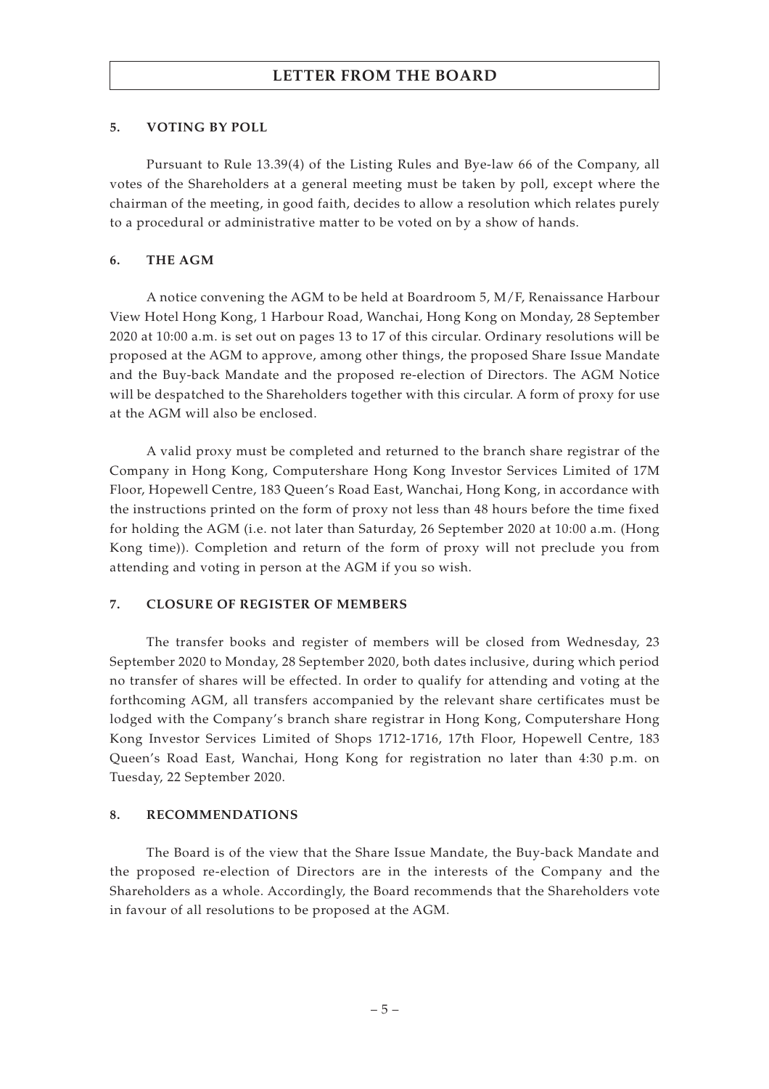#### **5. VOTING BY POLL**

Pursuant to Rule 13.39(4) of the Listing Rules and Bye-law 66 of the Company, all votes of the Shareholders at a general meeting must be taken by poll, except where the chairman of the meeting, in good faith, decides to allow a resolution which relates purely to a procedural or administrative matter to be voted on by a show of hands.

## **6. THE AGM**

A notice convening the AGM to be held at Boardroom 5, M/F, Renaissance Harbour View Hotel Hong Kong, 1 Harbour Road, Wanchai, Hong Kong on Monday, 28 September 2020 at 10:00 a.m. is set out on pages 13 to 17 of this circular. Ordinary resolutions will be proposed at the AGM to approve, among other things, the proposed Share Issue Mandate and the Buy-back Mandate and the proposed re-election of Directors. The AGM Notice will be despatched to the Shareholders together with this circular. A form of proxy for use at the AGM will also be enclosed.

A valid proxy must be completed and returned to the branch share registrar of the Company in Hong Kong, Computershare Hong Kong Investor Services Limited of 17M Floor, Hopewell Centre, 183 Queen's Road East, Wanchai, Hong Kong, in accordance with the instructions printed on the form of proxy not less than 48 hours before the time fixed for holding the AGM (i.e. not later than Saturday, 26 September 2020 at 10:00 a.m. (Hong Kong time)). Completion and return of the form of proxy will not preclude you from attending and voting in person at the AGM if you so wish.

## **7. CLOSURE OF REGISTER OF MEMBERS**

The transfer books and register of members will be closed from Wednesday, 23 September 2020 to Monday, 28 September 2020, both dates inclusive, during which period no transfer of shares will be effected. In order to qualify for attending and voting at the forthcoming AGM, all transfers accompanied by the relevant share certificates must be lodged with the Company's branch share registrar in Hong Kong, Computershare Hong Kong Investor Services Limited of Shops 1712-1716, 17th Floor, Hopewell Centre, 183 Queen's Road East, Wanchai, Hong Kong for registration no later than 4:30 p.m. on Tuesday, 22 September 2020.

## **8. RECOMMENDATIONS**

The Board is of the view that the Share Issue Mandate, the Buy-back Mandate and the proposed re-election of Directors are in the interests of the Company and the Shareholders as a whole. Accordingly, the Board recommends that the Shareholders vote in favour of all resolutions to be proposed at the AGM.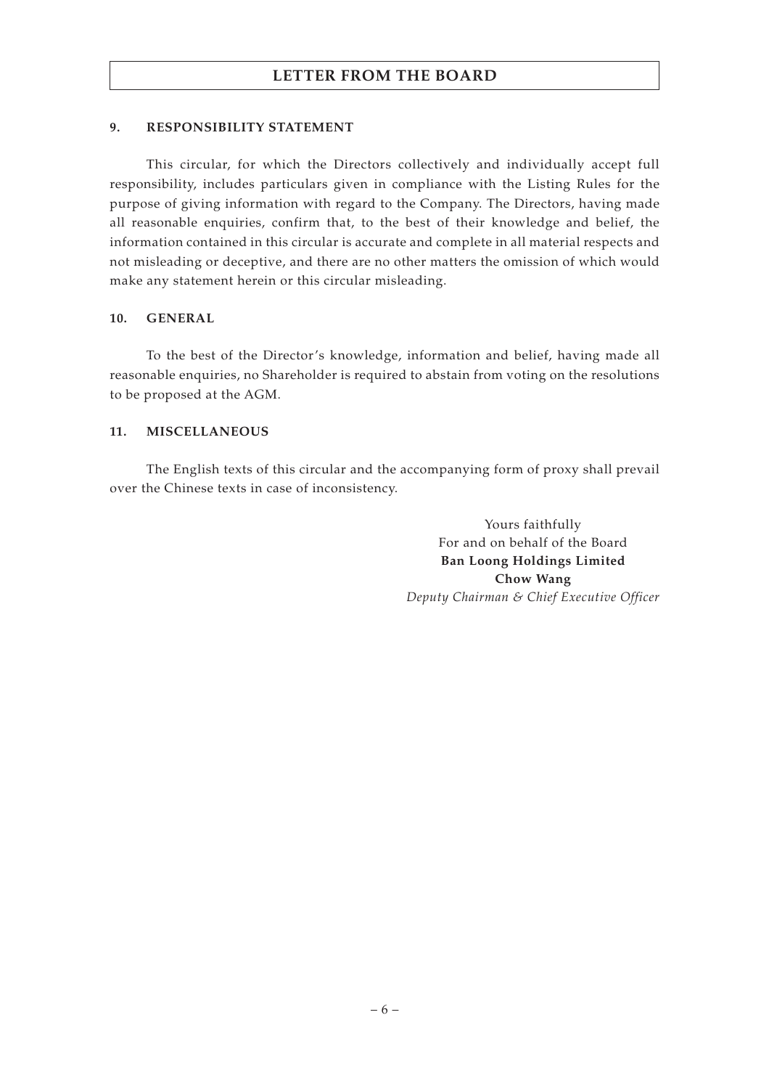## **9. RESPONSIBILITY STATEMENT**

This circular, for which the Directors collectively and individually accept full responsibility, includes particulars given in compliance with the Listing Rules for the purpose of giving information with regard to the Company. The Directors, having made all reasonable enquiries, confirm that, to the best of their knowledge and belief, the information contained in this circular is accurate and complete in all material respects and not misleading or deceptive, and there are no other matters the omission of which would make any statement herein or this circular misleading.

## **10. GENERAL**

To the best of the Director's knowledge, information and belief, having made all reasonable enquiries, no Shareholder is required to abstain from voting on the resolutions to be proposed at the AGM.

## **11. MISCELLANEOUS**

The English texts of this circular and the accompanying form of proxy shall prevail over the Chinese texts in case of inconsistency.

> Yours faithfully For and on behalf of the Board **Ban Loong Holdings Limited Chow Wang** *Deputy Chairman & Chief Executive Officer*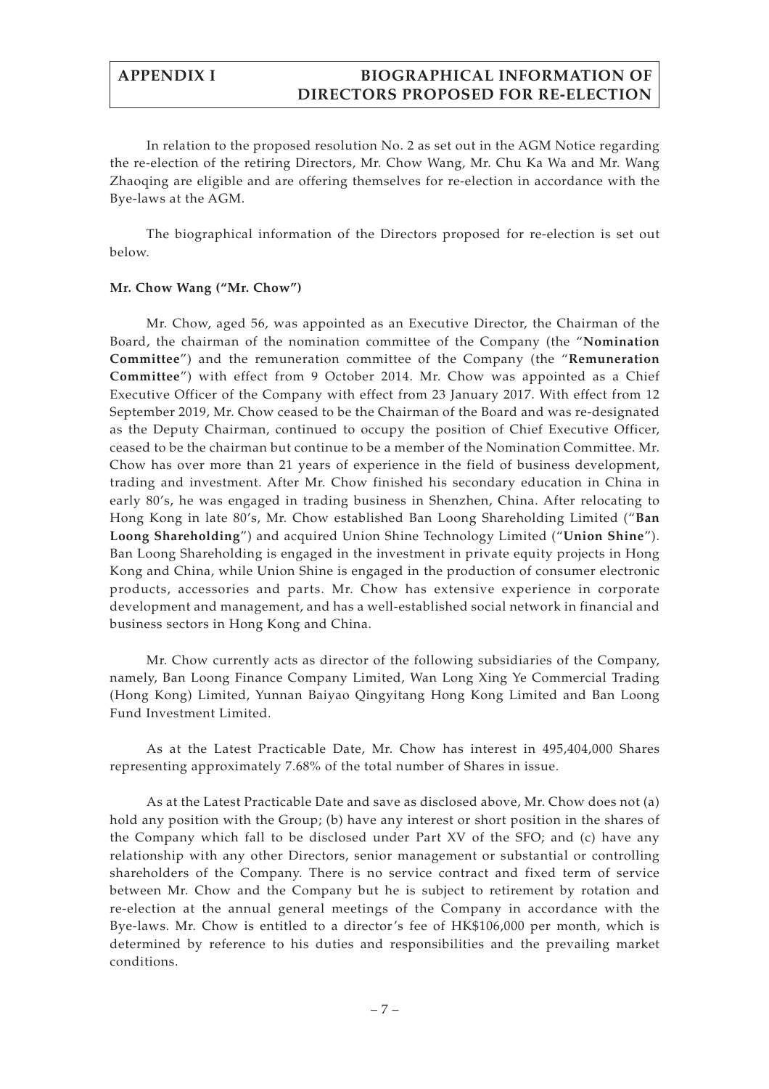# **APPENDIX I BIOGRAPHICAL INFORMATION OF DIRECTORS PROPOSED FOR RE-ELECTION**

In relation to the proposed resolution No. 2 as set out in the AGM Notice regarding the re-election of the retiring Directors, Mr. Chow Wang, Mr. Chu Ka Wa and Mr. Wang Zhaoqing are eligible and are offering themselves for re-election in accordance with the Bye-laws at the AGM.

The biographical information of the Directors proposed for re-election is set out below.

## **Mr. Chow Wang ("Mr. Chow")**

Mr. Chow, aged 56, was appointed as an Executive Director, the Chairman of the Board, the chairman of the nomination committee of the Company (the "**Nomination Committee**") and the remuneration committee of the Company (the "**Remuneration Committee**") with effect from 9 October 2014. Mr. Chow was appointed as a Chief Executive Officer of the Company with effect from 23 January 2017. With effect from 12 September 2019, Mr. Chow ceased to be the Chairman of the Board and was re-designated as the Deputy Chairman, continued to occupy the position of Chief Executive Officer, ceased to be the chairman but continue to be a member of the Nomination Committee. Mr. Chow has over more than 21 years of experience in the field of business development, trading and investment. After Mr. Chow finished his secondary education in China in early 80's, he was engaged in trading business in Shenzhen, China. After relocating to Hong Kong in late 80's, Mr. Chow established Ban Loong Shareholding Limited ("**Ban Loong Shareholding**") and acquired Union Shine Technology Limited ("**Union Shine**"). Ban Loong Shareholding is engaged in the investment in private equity projects in Hong Kong and China, while Union Shine is engaged in the production of consumer electronic products, accessories and parts. Mr. Chow has extensive experience in corporate development and management, and has a well-established social network in financial and business sectors in Hong Kong and China.

Mr. Chow currently acts as director of the following subsidiaries of the Company, namely, Ban Loong Finance Company Limited, Wan Long Xing Ye Commercial Trading (Hong Kong) Limited, Yunnan Baiyao Qingyitang Hong Kong Limited and Ban Loong Fund Investment Limited.

As at the Latest Practicable Date, Mr. Chow has interest in 495,404,000 Shares representing approximately 7.68% of the total number of Shares in issue.

As at the Latest Practicable Date and save as disclosed above, Mr. Chow does not (a) hold any position with the Group; (b) have any interest or short position in the shares of the Company which fall to be disclosed under Part XV of the SFO; and (c) have any relationship with any other Directors, senior management or substantial or controlling shareholders of the Company. There is no service contract and fixed term of service between Mr. Chow and the Company but he is subject to retirement by rotation and re-election at the annual general meetings of the Company in accordance with the Bye-laws. Mr. Chow is entitled to a director's fee of HK\$106,000 per month, which is determined by reference to his duties and responsibilities and the prevailing market conditions.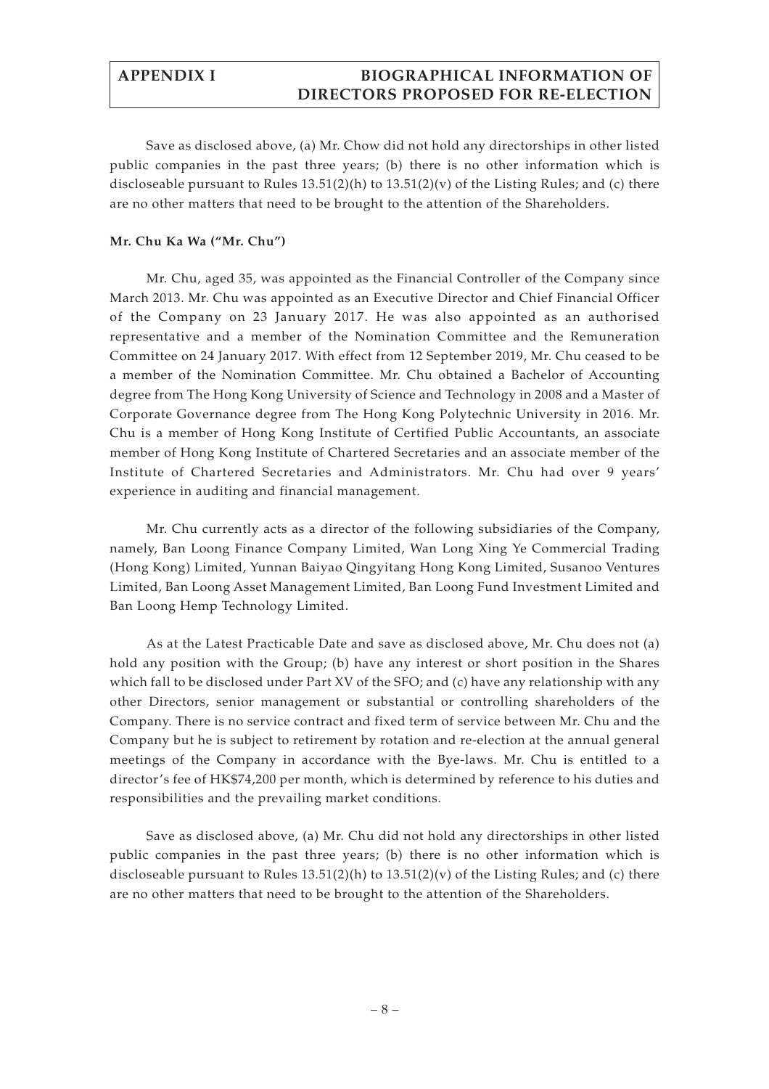# **APPENDIX I BIOGRAPHICAL INFORMATION OF DIRECTORS PROPOSED FOR RE-ELECTION**

Save as disclosed above, (a) Mr. Chow did not hold any directorships in other listed public companies in the past three years; (b) there is no other information which is discloseable pursuant to Rules  $13.51(2)(h)$  to  $13.51(2)(v)$  of the Listing Rules; and (c) there are no other matters that need to be brought to the attention of the Shareholders.

## **Mr. Chu Ka Wa ("Mr. Chu")**

Mr. Chu, aged 35, was appointed as the Financial Controller of the Company since March 2013. Mr. Chu was appointed as an Executive Director and Chief Financial Officer of the Company on 23 January 2017. He was also appointed as an authorised representative and a member of the Nomination Committee and the Remuneration Committee on 24 January 2017. With effect from 12 September 2019, Mr. Chu ceased to be a member of the Nomination Committee. Mr. Chu obtained a Bachelor of Accounting degree from The Hong Kong University of Science and Technology in 2008 and a Master of Corporate Governance degree from The Hong Kong Polytechnic University in 2016. Mr. Chu is a member of Hong Kong Institute of Certified Public Accountants, an associate member of Hong Kong Institute of Chartered Secretaries and an associate member of the Institute of Chartered Secretaries and Administrators. Mr. Chu had over 9 years' experience in auditing and financial management.

Mr. Chu currently acts as a director of the following subsidiaries of the Company, namely, Ban Loong Finance Company Limited, Wan Long Xing Ye Commercial Trading (Hong Kong) Limited, Yunnan Baiyao Qingyitang Hong Kong Limited, Susanoo Ventures Limited, Ban Loong Asset Management Limited, Ban Loong Fund Investment Limited and Ban Loong Hemp Technology Limited.

As at the Latest Practicable Date and save as disclosed above, Mr. Chu does not (a) hold any position with the Group; (b) have any interest or short position in the Shares which fall to be disclosed under Part XV of the SFO; and (c) have any relationship with any other Directors, senior management or substantial or controlling shareholders of the Company. There is no service contract and fixed term of service between Mr. Chu and the Company but he is subject to retirement by rotation and re-election at the annual general meetings of the Company in accordance with the Bye-laws. Mr. Chu is entitled to a director's fee of HK\$74,200 per month, which is determined by reference to his duties and responsibilities and the prevailing market conditions.

Save as disclosed above, (a) Mr. Chu did not hold any directorships in other listed public companies in the past three years; (b) there is no other information which is discloseable pursuant to Rules 13.51(2)(h) to 13.51(2)(v) of the Listing Rules; and (c) there are no other matters that need to be brought to the attention of the Shareholders.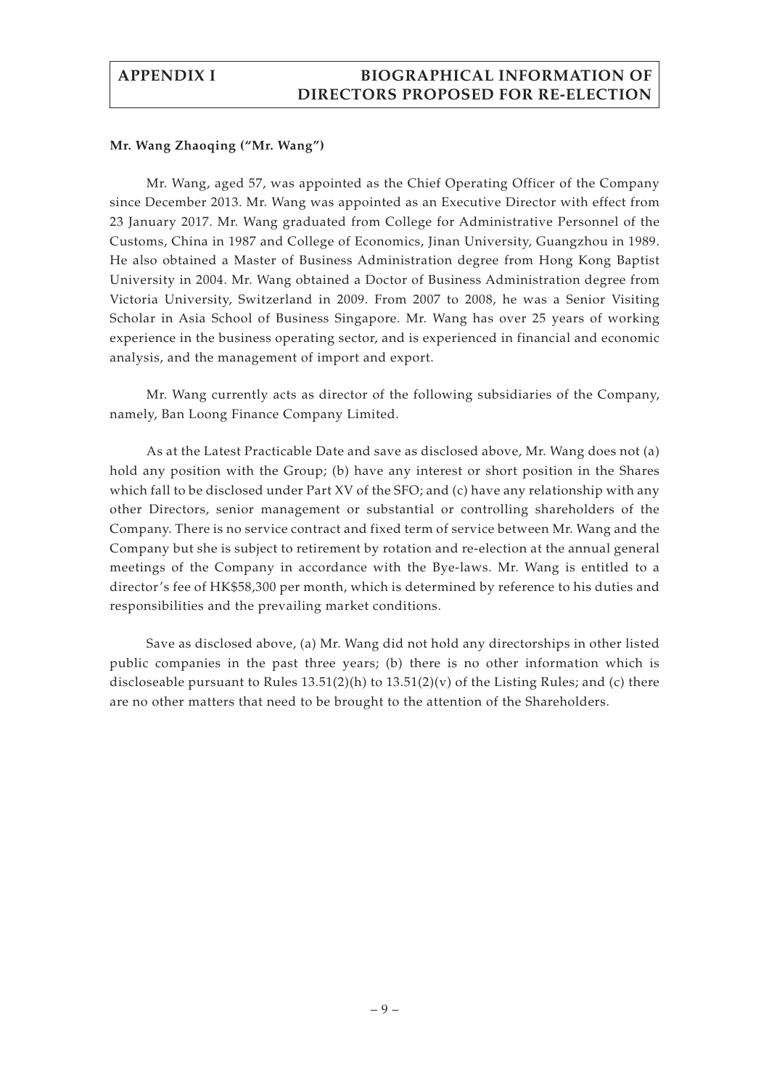## **APPENDIX I BIOGRAPHICAL INFORMATION OF DIRECTORS PROPOSED FOR RE-ELECTION**

#### **Mr. Wang Zhaoqing ("Mr. Wang")**

Mr. Wang, aged 57, was appointed as the Chief Operating Officer of the Company since December 2013. Mr. Wang was appointed as an Executive Director with effect from 23 January 2017. Mr. Wang graduated from College for Administrative Personnel of the Customs, China in 1987 and College of Economics, Jinan University, Guangzhou in 1989. He also obtained a Master of Business Administration degree from Hong Kong Baptist University in 2004. Mr. Wang obtained a Doctor of Business Administration degree from Victoria University, Switzerland in 2009. From 2007 to 2008, he was a Senior Visiting Scholar in Asia School of Business Singapore. Mr. Wang has over 25 years of working experience in the business operating sector, and is experienced in financial and economic analysis, and the management of import and export.

Mr. Wang currently acts as director of the following subsidiaries of the Company, namely, Ban Loong Finance Company Limited.

As at the Latest Practicable Date and save as disclosed above, Mr. Wang does not (a) hold any position with the Group; (b) have any interest or short position in the Shares which fall to be disclosed under Part XV of the SFO; and (c) have any relationship with any other Directors, senior management or substantial or controlling shareholders of the Company. There is no service contract and fixed term of service between Mr. Wang and the Company but she is subject to retirement by rotation and re-election at the annual general meetings of the Company in accordance with the Bye-laws. Mr. Wang is entitled to a director's fee of HK\$58,300 per month, which is determined by reference to his duties and responsibilities and the prevailing market conditions.

Save as disclosed above, (a) Mr. Wang did not hold any directorships in other listed public companies in the past three years; (b) there is no other information which is discloseable pursuant to Rules  $13.51(2)(h)$  to  $13.51(2)(v)$  of the Listing Rules; and (c) there are no other matters that need to be brought to the attention of the Shareholders.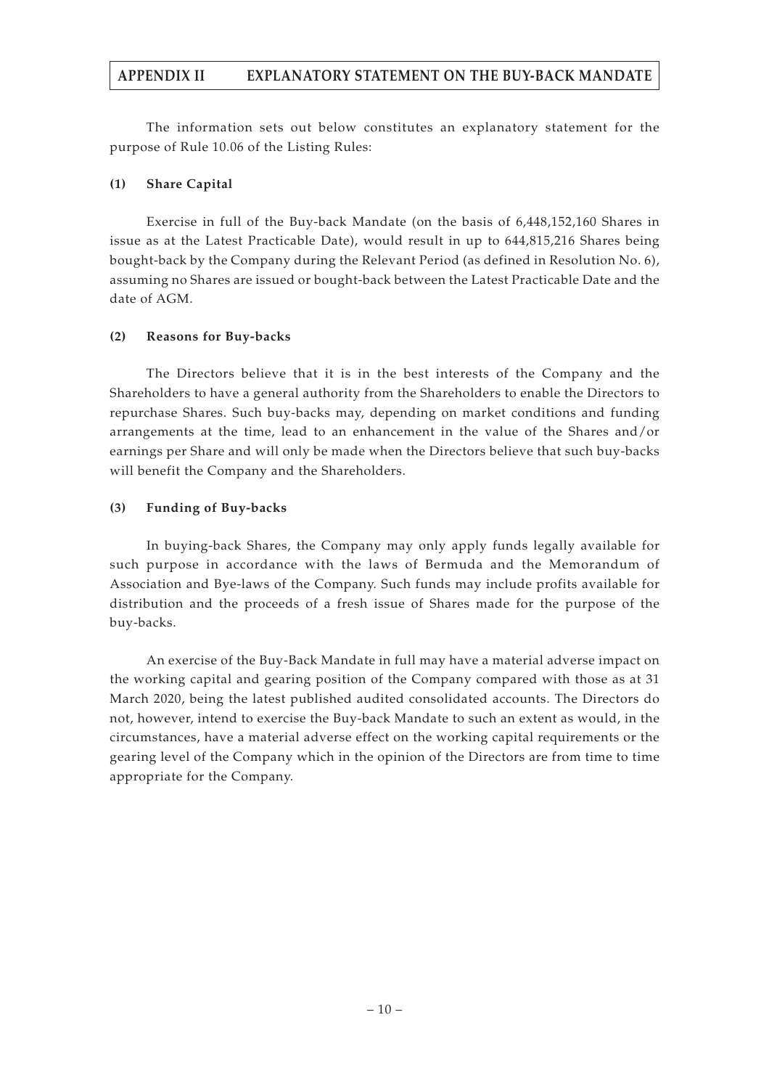## **APPENDIX II EXPLANATORY STATEMENT ON THE BUY-BACK MANDATE**

The information sets out below constitutes an explanatory statement for the purpose of Rule 10.06 of the Listing Rules:

## **(1) Share Capital**

Exercise in full of the Buy-back Mandate (on the basis of 6,448,152,160 Shares in issue as at the Latest Practicable Date), would result in up to 644,815,216 Shares being bought-back by the Company during the Relevant Period (as defined in Resolution No. 6), assuming no Shares are issued or bought-back between the Latest Practicable Date and the date of AGM.

## **(2) Reasons for Buy-backs**

The Directors believe that it is in the best interests of the Company and the Shareholders to have a general authority from the Shareholders to enable the Directors to repurchase Shares. Such buy-backs may, depending on market conditions and funding arrangements at the time, lead to an enhancement in the value of the Shares and/or earnings per Share and will only be made when the Directors believe that such buy-backs will benefit the Company and the Shareholders.

## **(3) Funding of Buy-backs**

In buying-back Shares, the Company may only apply funds legally available for such purpose in accordance with the laws of Bermuda and the Memorandum of Association and Bye-laws of the Company. Such funds may include profits available for distribution and the proceeds of a fresh issue of Shares made for the purpose of the buy-backs.

An exercise of the Buy-Back Mandate in full may have a material adverse impact on the working capital and gearing position of the Company compared with those as at 31 March 2020, being the latest published audited consolidated accounts. The Directors do not, however, intend to exercise the Buy-back Mandate to such an extent as would, in the circumstances, have a material adverse effect on the working capital requirements or the gearing level of the Company which in the opinion of the Directors are from time to time appropriate for the Company.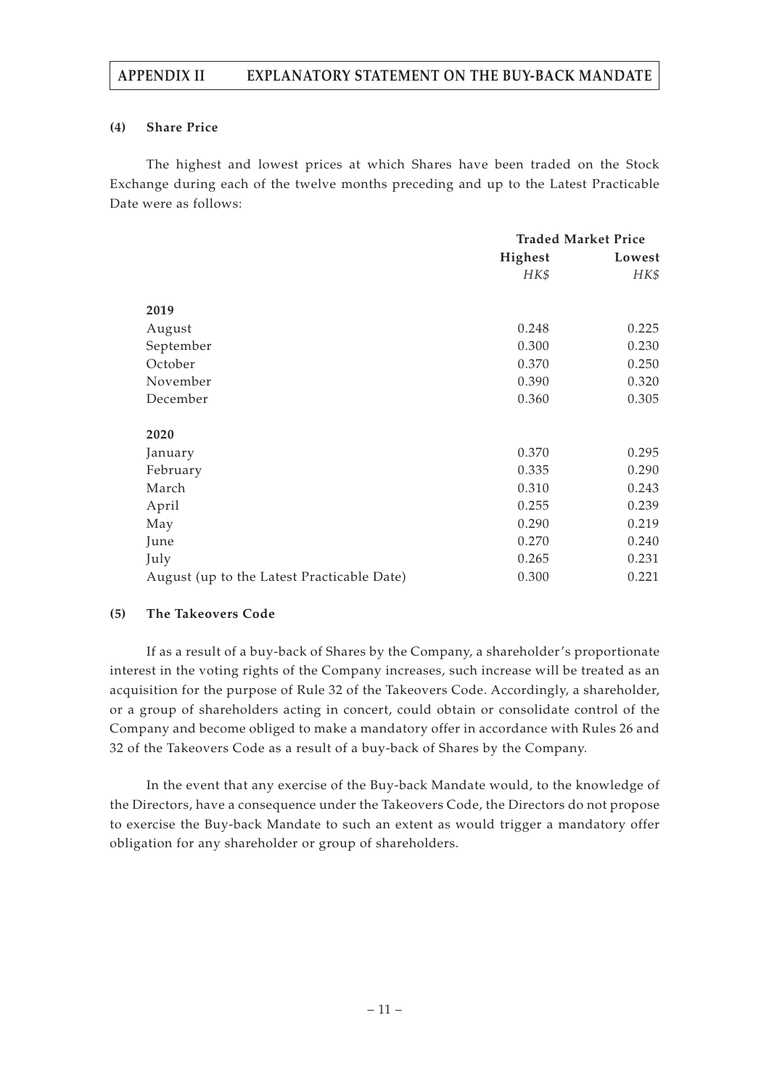## **APPENDIX II EXPLANATORY STATEMENT ON THE BUY-BACK MANDATE**

## **(4) Share Price**

The highest and lowest prices at which Shares have been traded on the Stock Exchange during each of the twelve months preceding and up to the Latest Practicable Date were as follows:

|                                            | <b>Traded Market Price</b> |        |
|--------------------------------------------|----------------------------|--------|
|                                            | Highest                    | Lowest |
|                                            | HK\$                       | HK\$   |
|                                            |                            |        |
| 2019                                       |                            |        |
| August                                     | 0.248                      | 0.225  |
| September                                  | 0.300                      | 0.230  |
| October                                    | 0.370                      | 0.250  |
| November                                   | 0.390                      | 0.320  |
| December                                   | 0.360                      | 0.305  |
|                                            |                            |        |
| 2020                                       |                            |        |
| January                                    | 0.370                      | 0.295  |
| February                                   | 0.335                      | 0.290  |
| March                                      | 0.310                      | 0.243  |
| April                                      | 0.255                      | 0.239  |
| May                                        | 0.290                      | 0.219  |
| June                                       | 0.270                      | 0.240  |
| July                                       | 0.265                      | 0.231  |
| August (up to the Latest Practicable Date) | 0.300                      | 0.221  |

## **(5) The Takeovers Code**

If as a result of a buy-back of Shares by the Company, a shareholder's proportionate interest in the voting rights of the Company increases, such increase will be treated as an acquisition for the purpose of Rule 32 of the Takeovers Code. Accordingly, a shareholder, or a group of shareholders acting in concert, could obtain or consolidate control of the Company and become obliged to make a mandatory offer in accordance with Rules 26 and 32 of the Takeovers Code as a result of a buy-back of Shares by the Company.

In the event that any exercise of the Buy-back Mandate would, to the knowledge of the Directors, have a consequence under the Takeovers Code, the Directors do not propose to exercise the Buy-back Mandate to such an extent as would trigger a mandatory offer obligation for any shareholder or group of shareholders.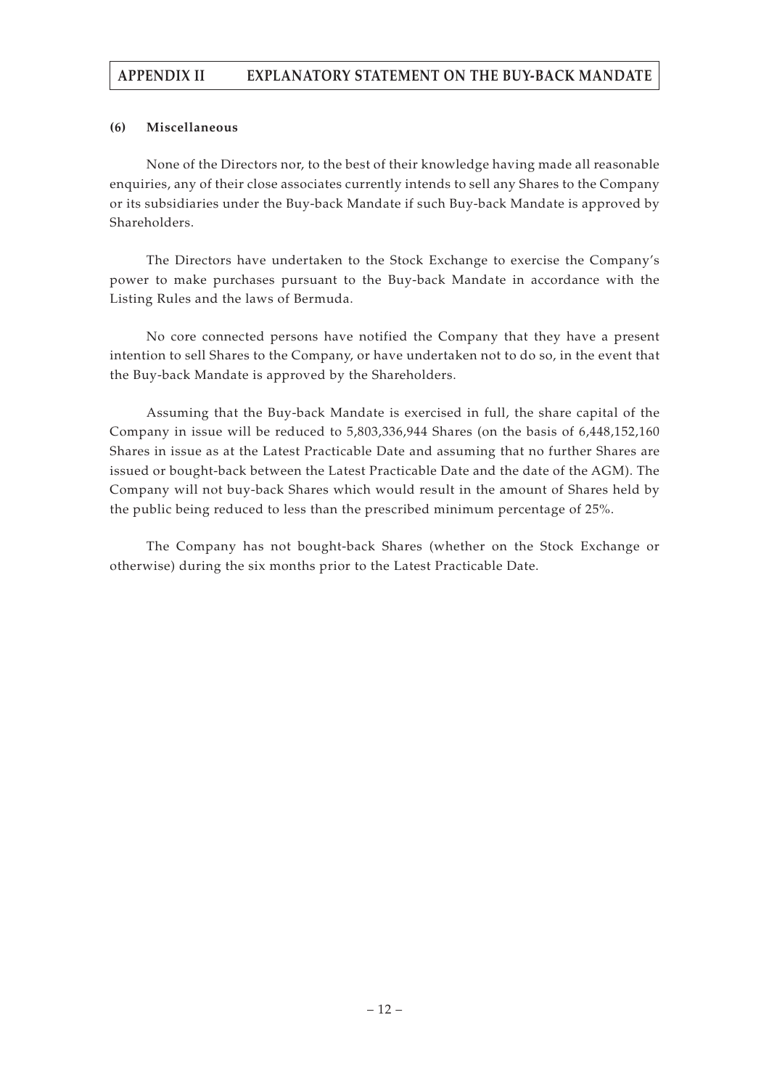# **APPENDIX II EXPLANATORY STATEMENT ON THE BUY-BACK MANDATE**

## **(6) Miscellaneous**

None of the Directors nor, to the best of their knowledge having made all reasonable enquiries, any of their close associates currently intends to sell any Shares to the Company or its subsidiaries under the Buy-back Mandate if such Buy-back Mandate is approved by Shareholders.

The Directors have undertaken to the Stock Exchange to exercise the Company's power to make purchases pursuant to the Buy-back Mandate in accordance with the Listing Rules and the laws of Bermuda.

No core connected persons have notified the Company that they have a present intention to sell Shares to the Company, or have undertaken not to do so, in the event that the Buy-back Mandate is approved by the Shareholders.

Assuming that the Buy-back Mandate is exercised in full, the share capital of the Company in issue will be reduced to 5,803,336,944 Shares (on the basis of 6,448,152,160 Shares in issue as at the Latest Practicable Date and assuming that no further Shares are issued or bought-back between the Latest Practicable Date and the date of the AGM). The Company will not buy-back Shares which would result in the amount of Shares held by the public being reduced to less than the prescribed minimum percentage of 25%.

The Company has not bought-back Shares (whether on the Stock Exchange or otherwise) during the six months prior to the Latest Practicable Date.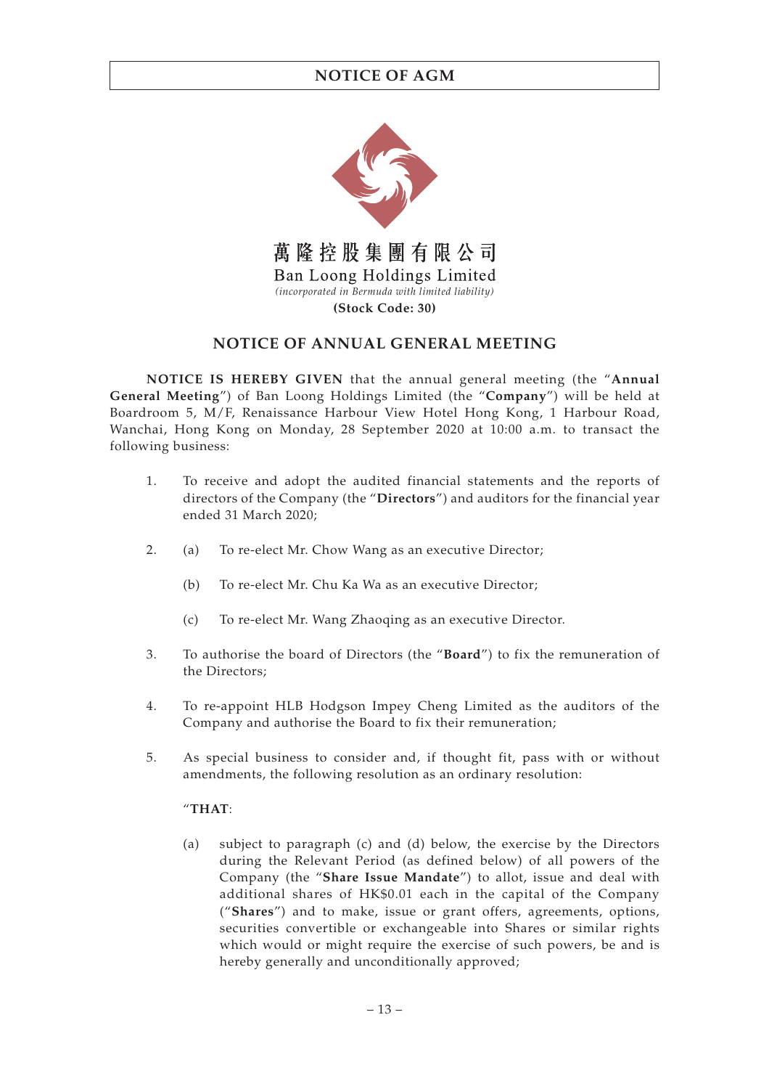

# **NOTICE OF ANNUAL GENERAL MEETING**

**NOTICE IS HEREBY GIVEN** that the annual general meeting (the "**Annual General Meeting**") of Ban Loong Holdings Limited (the "**Company**") will be held at Boardroom 5, M/F, Renaissance Harbour View Hotel Hong Kong, 1 Harbour Road, Wanchai, Hong Kong on Monday, 28 September 2020 at 10:00 a.m. to transact the following business:

- 1. To receive and adopt the audited financial statements and the reports of directors of the Company (the "**Directors**") and auditors for the financial year ended 31 March 2020;
- 2. (a) To re-elect Mr. Chow Wang as an executive Director;
	- (b) To re-elect Mr. Chu Ka Wa as an executive Director;
	- (c) To re-elect Mr. Wang Zhaoqing as an executive Director.
- 3. To authorise the board of Directors (the "**Board**") to fix the remuneration of the Directors;
- 4. To re-appoint HLB Hodgson Impey Cheng Limited as the auditors of the Company and authorise the Board to fix their remuneration;
- 5. As special business to consider and, if thought fit, pass with or without amendments, the following resolution as an ordinary resolution:

## "**THAT**:

(a) subject to paragraph (c) and (d) below, the exercise by the Directors during the Relevant Period (as defined below) of all powers of the Company (the "**Share Issue Mandate**") to allot, issue and deal with additional shares of HK\$0.01 each in the capital of the Company ("**Shares**") and to make, issue or grant offers, agreements, options, securities convertible or exchangeable into Shares or similar rights which would or might require the exercise of such powers, be and is hereby generally and unconditionally approved;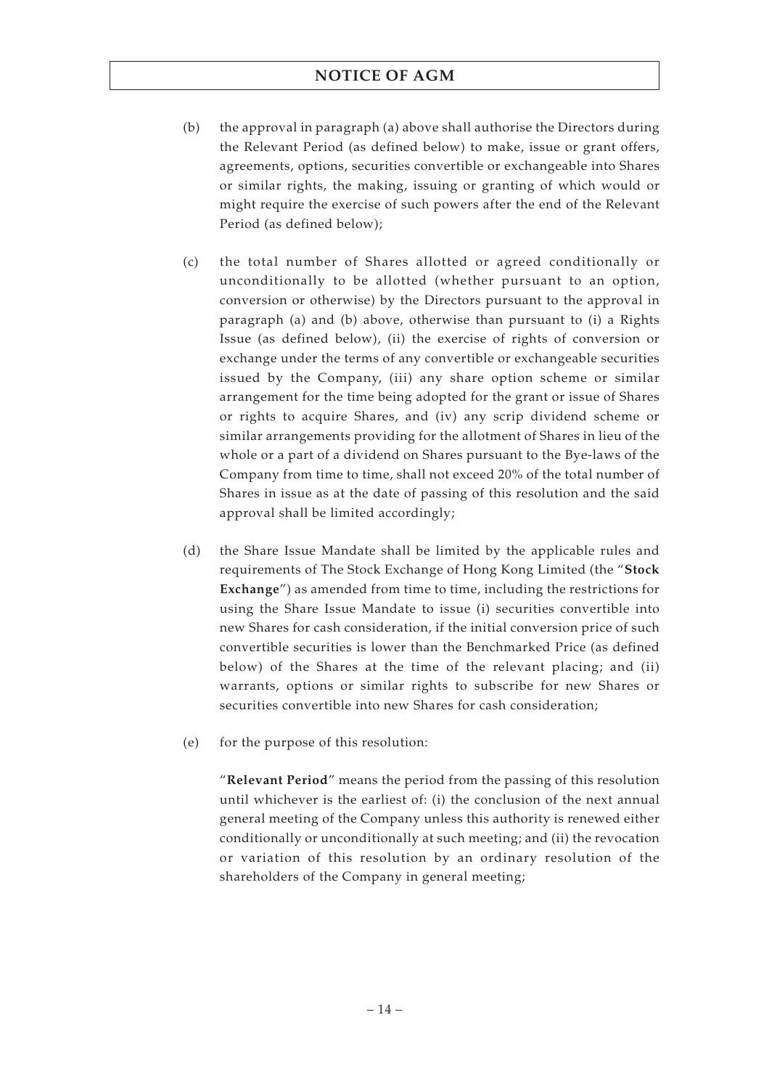- (b) the approval in paragraph (a) above shall authorise the Directors during the Relevant Period (as defined below) to make, issue or grant offers, agreements, options, securities convertible or exchangeable into Shares or similar rights, the making, issuing or granting of which would or might require the exercise of such powers after the end of the Relevant Period (as defined below);
- (c) the total number of Shares allotted or agreed conditionally or unconditionally to be allotted (whether pursuant to an option, conversion or otherwise) by the Directors pursuant to the approval in paragraph (a) and (b) above, otherwise than pursuant to (i) a Rights Issue (as defined below), (ii) the exercise of rights of conversion or exchange under the terms of any convertible or exchangeable securities issued by the Company, (iii) any share option scheme or similar arrangement for the time being adopted for the grant or issue of Shares or rights to acquire Shares, and (iv) any scrip dividend scheme or similar arrangements providing for the allotment of Shares in lieu of the whole or a part of a dividend on Shares pursuant to the Bye-laws of the Company from time to time, shall not exceed 20% of the total number of Shares in issue as at the date of passing of this resolution and the said approval shall be limited accordingly;
- (d) the Share Issue Mandate shall be limited by the applicable rules and requirements of The Stock Exchange of Hong Kong Limited (the "**Stock Exchange**") as amended from time to time, including the restrictions for using the Share Issue Mandate to issue (i) securities convertible into new Shares for cash consideration, if the initial conversion price of such convertible securities is lower than the Benchmarked Price (as defined below) of the Shares at the time of the relevant placing; and (ii) warrants, options or similar rights to subscribe for new Shares or securities convertible into new Shares for cash consideration;
- (e) for the purpose of this resolution:

"**Relevant Period**" means the period from the passing of this resolution until whichever is the earliest of: (i) the conclusion of the next annual general meeting of the Company unless this authority is renewed either conditionally or unconditionally at such meeting; and (ii) the revocation or variation of this resolution by an ordinary resolution of the shareholders of the Company in general meeting;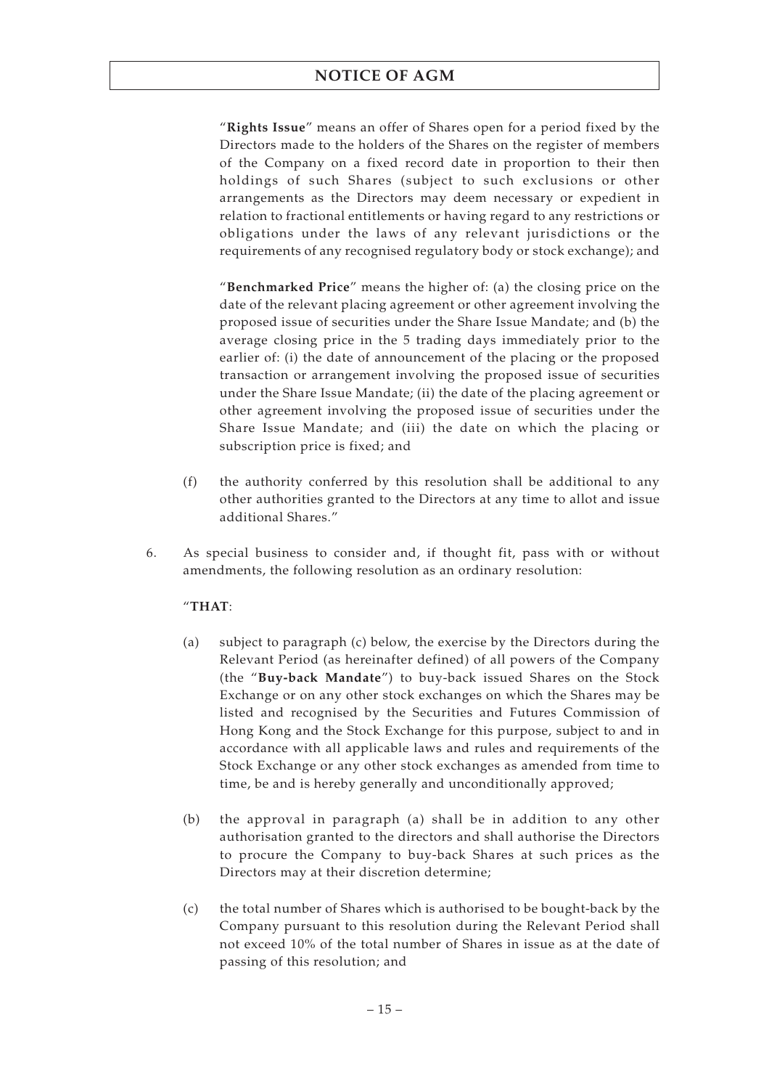"**Rights Issue**" means an offer of Shares open for a period fixed by the Directors made to the holders of the Shares on the register of members of the Company on a fixed record date in proportion to their then holdings of such Shares (subject to such exclusions or other arrangements as the Directors may deem necessary or expedient in relation to fractional entitlements or having regard to any restrictions or obligations under the laws of any relevant jurisdictions or the requirements of any recognised regulatory body or stock exchange); and

"**Benchmarked Price**" means the higher of: (a) the closing price on the date of the relevant placing agreement or other agreement involving the proposed issue of securities under the Share Issue Mandate; and (b) the average closing price in the 5 trading days immediately prior to the earlier of: (i) the date of announcement of the placing or the proposed transaction or arrangement involving the proposed issue of securities under the Share Issue Mandate; (ii) the date of the placing agreement or other agreement involving the proposed issue of securities under the Share Issue Mandate; and (iii) the date on which the placing or subscription price is fixed; and

- (f) the authority conferred by this resolution shall be additional to any other authorities granted to the Directors at any time to allot and issue additional Shares."
- 6. As special business to consider and, if thought fit, pass with or without amendments, the following resolution as an ordinary resolution:

## "**THAT**:

- (a) subject to paragraph (c) below, the exercise by the Directors during the Relevant Period (as hereinafter defined) of all powers of the Company (the "**Buy-back Mandate**") to buy-back issued Shares on the Stock Exchange or on any other stock exchanges on which the Shares may be listed and recognised by the Securities and Futures Commission of Hong Kong and the Stock Exchange for this purpose, subject to and in accordance with all applicable laws and rules and requirements of the Stock Exchange or any other stock exchanges as amended from time to time, be and is hereby generally and unconditionally approved;
- (b) the approval in paragraph (a) shall be in addition to any other authorisation granted to the directors and shall authorise the Directors to procure the Company to buy-back Shares at such prices as the Directors may at their discretion determine;
- (c) the total number of Shares which is authorised to be bought-back by the Company pursuant to this resolution during the Relevant Period shall not exceed 10% of the total number of Shares in issue as at the date of passing of this resolution; and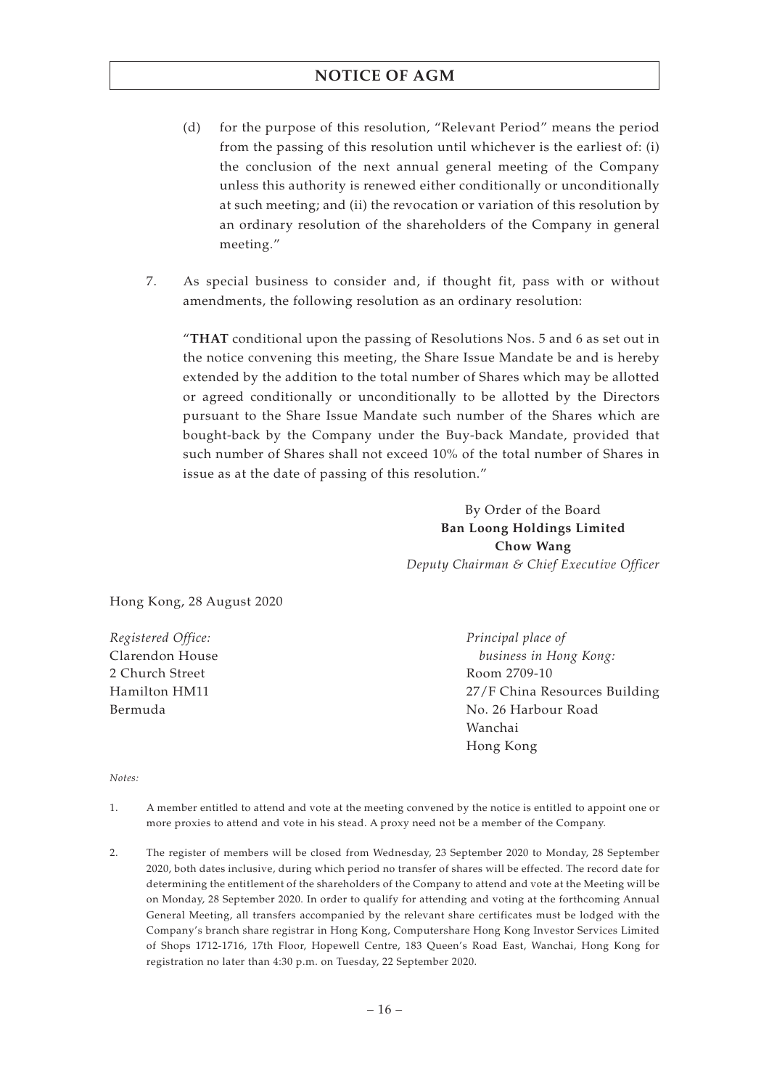- (d) for the purpose of this resolution, "Relevant Period" means the period from the passing of this resolution until whichever is the earliest of: (i) the conclusion of the next annual general meeting of the Company unless this authority is renewed either conditionally or unconditionally at such meeting; and (ii) the revocation or variation of this resolution by an ordinary resolution of the shareholders of the Company in general meeting."
- 7. As special business to consider and, if thought fit, pass with or without amendments, the following resolution as an ordinary resolution:

"**THAT** conditional upon the passing of Resolutions Nos. 5 and 6 as set out in the notice convening this meeting, the Share Issue Mandate be and is hereby extended by the addition to the total number of Shares which may be allotted or agreed conditionally or unconditionally to be allotted by the Directors pursuant to the Share Issue Mandate such number of the Shares which are bought-back by the Company under the Buy-back Mandate, provided that such number of Shares shall not exceed 10% of the total number of Shares in issue as at the date of passing of this resolution."

> By Order of the Board **Ban Loong Holdings Limited Chow Wang** *Deputy Chairman & Chief Executive Officer*

Hong Kong, 28 August 2020

*Registered Office:* Clarendon House 2 Church Street Hamilton HM11 Bermuda

*Principal place of business in Hong Kong:* Room 2709-10 27/F China Resources Building No. 26 Harbour Road Wanchai Hong Kong

*Notes:*

- 1. A member entitled to attend and vote at the meeting convened by the notice is entitled to appoint one or more proxies to attend and vote in his stead. A proxy need not be a member of the Company.
- 2. The register of members will be closed from Wednesday, 23 September 2020 to Monday, 28 September 2020, both dates inclusive, during which period no transfer of shares will be effected. The record date for determining the entitlement of the shareholders of the Company to attend and vote at the Meeting will be on Monday, 28 September 2020. In order to qualify for attending and voting at the forthcoming Annual General Meeting, all transfers accompanied by the relevant share certificates must be lodged with the Company's branch share registrar in Hong Kong, Computershare Hong Kong Investor Services Limited of Shops 1712-1716, 17th Floor, Hopewell Centre, 183 Queen's Road East, Wanchai, Hong Kong for registration no later than 4:30 p.m. on Tuesday, 22 September 2020.